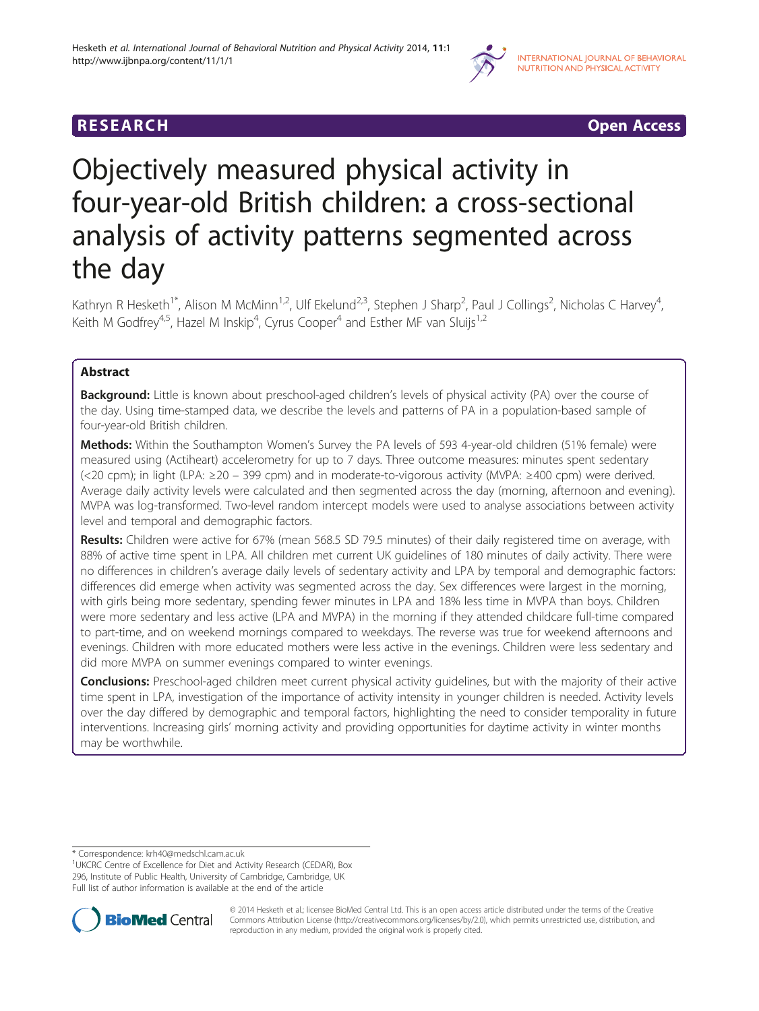

**RESEARCH RESEARCH CONSUMING ACCESS** 

# Objectively measured physical activity in four-year-old British children: a cross-sectional analysis of activity patterns segmented across the day

Kathryn R Hesketh<sup>1\*</sup>, Alison M McMinn<sup>1,2</sup>, Ulf Ekelund<sup>2,3</sup>, Stephen J Sharp<sup>2</sup>, Paul J Collings<sup>2</sup>, Nicholas C Harvey<sup>4</sup> , Keith M Godfrey<sup>4,5</sup>, Hazel M Inskip<sup>4</sup>, Cyrus Cooper<sup>4</sup> and Esther MF van Sluijs<sup>1,2</sup>

### Abstract

Background: Little is known about preschool-aged children's levels of physical activity (PA) over the course of the day. Using time-stamped data, we describe the levels and patterns of PA in a population-based sample of four-year-old British children.

Methods: Within the Southampton Women's Survey the PA levels of 593 4-year-old children (51% female) were measured using (Actiheart) accelerometry for up to 7 days. Three outcome measures: minutes spent sedentary (<20 cpm); in light (LPA: ≥20 – 399 cpm) and in moderate-to-vigorous activity (MVPA: ≥400 cpm) were derived. Average daily activity levels were calculated and then segmented across the day (morning, afternoon and evening). MVPA was log-transformed. Two-level random intercept models were used to analyse associations between activity level and temporal and demographic factors.

Results: Children were active for 67% (mean 568.5 SD 79.5 minutes) of their daily registered time on average, with 88% of active time spent in LPA. All children met current UK guidelines of 180 minutes of daily activity. There were no differences in children's average daily levels of sedentary activity and LPA by temporal and demographic factors: differences did emerge when activity was segmented across the day. Sex differences were largest in the morning, with girls being more sedentary, spending fewer minutes in LPA and 18% less time in MVPA than boys. Children were more sedentary and less active (LPA and MVPA) in the morning if they attended childcare full-time compared to part-time, and on weekend mornings compared to weekdays. The reverse was true for weekend afternoons and evenings. Children with more educated mothers were less active in the evenings. Children were less sedentary and did more MVPA on summer evenings compared to winter evenings.

Conclusions: Preschool-aged children meet current physical activity guidelines, but with the majority of their active time spent in LPA, investigation of the importance of activity intensity in younger children is needed. Activity levels over the day differed by demographic and temporal factors, highlighting the need to consider temporality in future interventions. Increasing girls' morning activity and providing opportunities for daytime activity in winter months may be worthwhile.

<sup>&</sup>lt;sup>1</sup>UKCRC Centre of Excellence for Diet and Activity Research (CEDAR), Box 296, Institute of Public Health, University of Cambridge, Cambridge, UK Full list of author information is available at the end of the article



© 2014 Hesketh et al.; licensee BioMed Central Ltd. This is an open access article distributed under the terms of the Creative Commons Attribution License [\(http://creativecommons.org/licenses/by/2.0\)](http://creativecommons.org/licenses/by/2.0), which permits unrestricted use, distribution, and reproduction in any medium, provided the original work is properly cited.

<sup>\*</sup> Correspondence: [krh40@medschl.cam.ac.uk](mailto:krh40@medschl.cam.ac.uk) <sup>1</sup>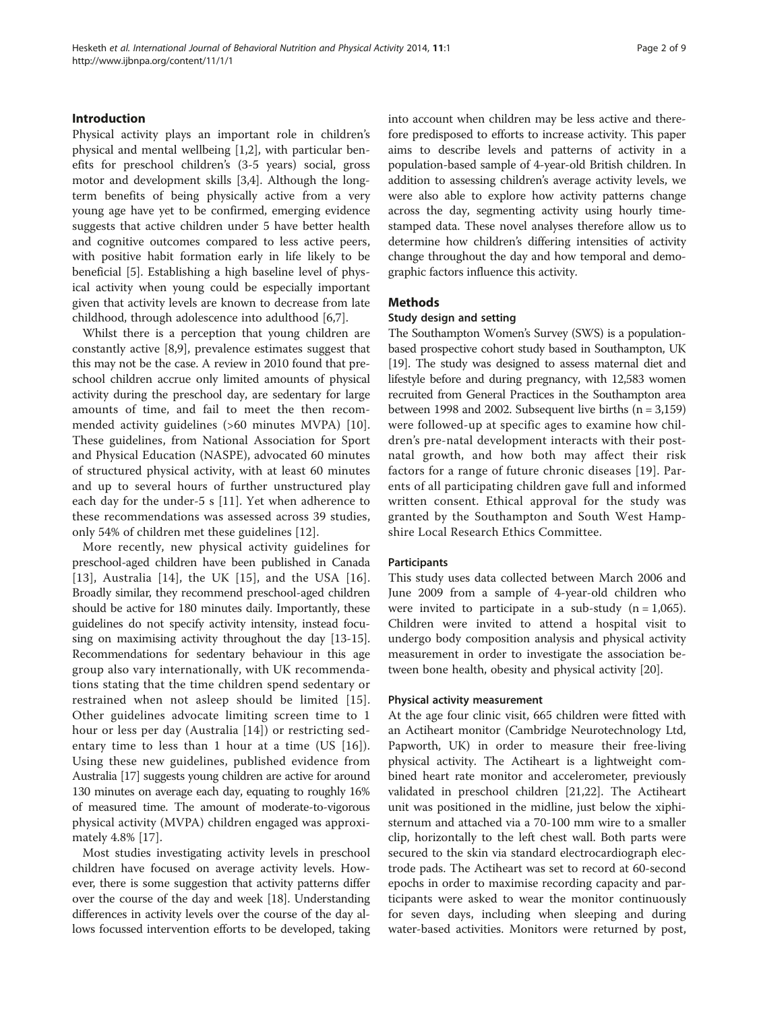### Introduction

Physical activity plays an important role in children's physical and mental wellbeing [\[1](#page-7-0),[2](#page-7-0)], with particular benefits for preschool children's (3-5 years) social, gross motor and development skills [[3,4\]](#page-7-0). Although the longterm benefits of being physically active from a very young age have yet to be confirmed, emerging evidence suggests that active children under 5 have better health and cognitive outcomes compared to less active peers, with positive habit formation early in life likely to be beneficial [\[5](#page-7-0)]. Establishing a high baseline level of physical activity when young could be especially important given that activity levels are known to decrease from late childhood, through adolescence into adulthood [\[6,7](#page-7-0)].

Whilst there is a perception that young children are constantly active [\[8,9](#page-7-0)], prevalence estimates suggest that this may not be the case. A review in 2010 found that preschool children accrue only limited amounts of physical activity during the preschool day, are sedentary for large amounts of time, and fail to meet the then recommended activity guidelines (>60 minutes MVPA) [\[10](#page-7-0)]. These guidelines, from National Association for Sport and Physical Education (NASPE), advocated 60 minutes of structured physical activity, with at least 60 minutes and up to several hours of further unstructured play each day for the under-5 s [[11\]](#page-7-0). Yet when adherence to these recommendations was assessed across 39 studies, only 54% of children met these guidelines [[12](#page-8-0)].

More recently, new physical activity guidelines for preschool-aged children have been published in Canada [[13](#page-8-0)], Australia [\[14](#page-8-0)], the UK [[15](#page-8-0)], and the USA [[16](#page-8-0)]. Broadly similar, they recommend preschool-aged children should be active for 180 minutes daily. Importantly, these guidelines do not specify activity intensity, instead focusing on maximising activity throughout the day [[13](#page-8-0)-[15](#page-8-0)]. Recommendations for sedentary behaviour in this age group also vary internationally, with UK recommendations stating that the time children spend sedentary or restrained when not asleep should be limited [[15](#page-8-0)]. Other guidelines advocate limiting screen time to 1 hour or less per day (Australia [[14](#page-8-0)]) or restricting sedentary time to less than 1 hour at a time (US [[16\]](#page-8-0)). Using these new guidelines, published evidence from Australia [\[17\]](#page-8-0) suggests young children are active for around 130 minutes on average each day, equating to roughly 16% of measured time. The amount of moderate-to-vigorous physical activity (MVPA) children engaged was approximately 4.8% [[17](#page-8-0)].

Most studies investigating activity levels in preschool children have focused on average activity levels. However, there is some suggestion that activity patterns differ over the course of the day and week [[18](#page-8-0)]. Understanding differences in activity levels over the course of the day allows focussed intervention efforts to be developed, taking into account when children may be less active and therefore predisposed to efforts to increase activity. This paper aims to describe levels and patterns of activity in a population-based sample of 4-year-old British children. In addition to assessing children's average activity levels, we were also able to explore how activity patterns change across the day, segmenting activity using hourly timestamped data. These novel analyses therefore allow us to determine how children's differing intensities of activity change throughout the day and how temporal and demographic factors influence this activity.

### Methods

### Study design and setting

The Southampton Women's Survey (SWS) is a populationbased prospective cohort study based in Southampton, UK [[19](#page-8-0)]. The study was designed to assess maternal diet and lifestyle before and during pregnancy, with 12,583 women recruited from General Practices in the Southampton area between 1998 and 2002. Subsequent live births  $(n = 3,159)$ were followed-up at specific ages to examine how children's pre-natal development interacts with their postnatal growth, and how both may affect their risk factors for a range of future chronic diseases [[19](#page-8-0)]. Parents of all participating children gave full and informed written consent. Ethical approval for the study was granted by the Southampton and South West Hampshire Local Research Ethics Committee.

### **Participants**

This study uses data collected between March 2006 and June 2009 from a sample of 4-year-old children who were invited to participate in a sub-study  $(n = 1,065)$ . Children were invited to attend a hospital visit to undergo body composition analysis and physical activity measurement in order to investigate the association between bone health, obesity and physical activity [\[20](#page-8-0)].

### Physical activity measurement

At the age four clinic visit, 665 children were fitted with an Actiheart monitor (Cambridge Neurotechnology Ltd, Papworth, UK) in order to measure their free-living physical activity. The Actiheart is a lightweight combined heart rate monitor and accelerometer, previously validated in preschool children [[21,22\]](#page-8-0). The Actiheart unit was positioned in the midline, just below the xiphisternum and attached via a 70-100 mm wire to a smaller clip, horizontally to the left chest wall. Both parts were secured to the skin via standard electrocardiograph electrode pads. The Actiheart was set to record at 60-second epochs in order to maximise recording capacity and participants were asked to wear the monitor continuously for seven days, including when sleeping and during water-based activities. Monitors were returned by post,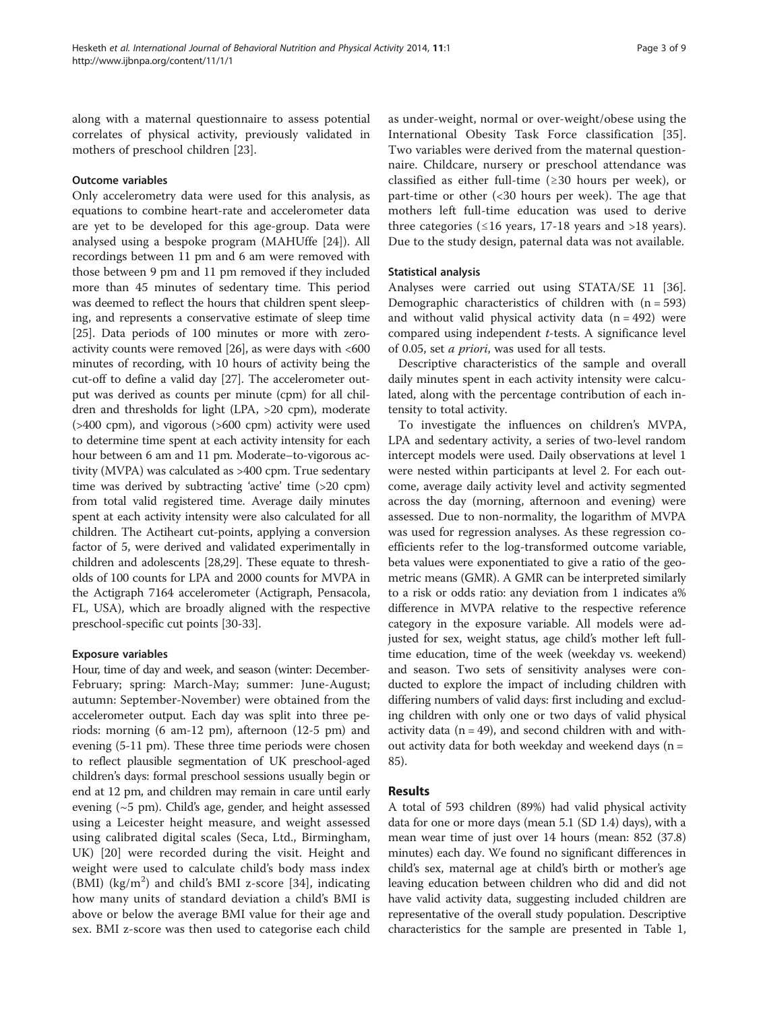along with a maternal questionnaire to assess potential correlates of physical activity, previously validated in mothers of preschool children [\[23](#page-8-0)].

### Outcome variables

Only accelerometry data were used for this analysis, as equations to combine heart-rate and accelerometer data are yet to be developed for this age-group. Data were analysed using a bespoke program (MAHUffe [\[24](#page-8-0)]). All recordings between 11 pm and 6 am were removed with those between 9 pm and 11 pm removed if they included more than 45 minutes of sedentary time. This period was deemed to reflect the hours that children spent sleeping, and represents a conservative estimate of sleep time [[25](#page-8-0)]. Data periods of 100 minutes or more with zeroactivity counts were removed [\[26\]](#page-8-0), as were days with <600 minutes of recording, with 10 hours of activity being the cut-off to define a valid day [[27](#page-8-0)]. The accelerometer output was derived as counts per minute (cpm) for all children and thresholds for light (LPA, >20 cpm), moderate (>400 cpm), and vigorous (>600 cpm) activity were used to determine time spent at each activity intensity for each hour between 6 am and 11 pm. Moderate–to-vigorous activity (MVPA) was calculated as >400 cpm. True sedentary time was derived by subtracting 'active' time (>20 cpm) from total valid registered time. Average daily minutes spent at each activity intensity were also calculated for all children. The Actiheart cut-points, applying a conversion factor of 5, were derived and validated experimentally in children and adolescents [\[28,29\]](#page-8-0). These equate to thresholds of 100 counts for LPA and 2000 counts for MVPA in the Actigraph 7164 accelerometer (Actigraph, Pensacola, FL, USA), which are broadly aligned with the respective preschool-specific cut points [\[30-33\]](#page-8-0).

### Exposure variables

Hour, time of day and week, and season (winter: December-February; spring: March-May; summer: June-August; autumn: September-November) were obtained from the accelerometer output. Each day was split into three periods: morning (6 am-12 pm), afternoon (12-5 pm) and evening (5-11 pm). These three time periods were chosen to reflect plausible segmentation of UK preschool-aged children's days: formal preschool sessions usually begin or end at 12 pm, and children may remain in care until early evening (~5 pm). Child's age, gender, and height assessed using a Leicester height measure, and weight assessed using calibrated digital scales (Seca, Ltd., Birmingham, UK) [\[20](#page-8-0)] were recorded during the visit. Height and weight were used to calculate child's body mass index  $(BMI)$  (kg/m<sup>2</sup>) and child's BMI z-score [[34\]](#page-8-0), indicating how many units of standard deviation a child's BMI is above or below the average BMI value for their age and sex. BMI z-score was then used to categorise each child

as under-weight, normal or over-weight/obese using the International Obesity Task Force classification [\[35](#page-8-0)]. Two variables were derived from the maternal questionnaire. Childcare, nursery or preschool attendance was classified as either full-time ( $\geq$ 30 hours per week), or part-time or other (<30 hours per week). The age that mothers left full-time education was used to derive three categories ( $\leq 16$  years, 17-18 years and >18 years). Due to the study design, paternal data was not available.

### Statistical analysis

Analyses were carried out using STATA/SE 11 [\[36](#page-8-0)]. Demographic characteristics of children with  $(n = 593)$ and without valid physical activity data  $(n = 492)$  were compared using independent t-tests. A significance level of 0.05, set a priori, was used for all tests.

Descriptive characteristics of the sample and overall daily minutes spent in each activity intensity were calculated, along with the percentage contribution of each intensity to total activity.

To investigate the influences on children's MVPA, LPA and sedentary activity, a series of two-level random intercept models were used. Daily observations at level 1 were nested within participants at level 2. For each outcome, average daily activity level and activity segmented across the day (morning, afternoon and evening) were assessed. Due to non-normality, the logarithm of MVPA was used for regression analyses. As these regression coefficients refer to the log-transformed outcome variable, beta values were exponentiated to give a ratio of the geometric means (GMR). A GMR can be interpreted similarly to a risk or odds ratio: any deviation from 1 indicates a% difference in MVPA relative to the respective reference category in the exposure variable. All models were adjusted for sex, weight status, age child's mother left fulltime education, time of the week (weekday vs. weekend) and season. Two sets of sensitivity analyses were conducted to explore the impact of including children with differing numbers of valid days: first including and excluding children with only one or two days of valid physical activity data ( $n = 49$ ), and second children with and without activity data for both weekday and weekend days ( $n =$ 85).

### Results

A total of 593 children (89%) had valid physical activity data for one or more days (mean 5.1 (SD 1.4) days), with a mean wear time of just over 14 hours (mean: 852 (37.8) minutes) each day. We found no significant differences in child's sex, maternal age at child's birth or mother's age leaving education between children who did and did not have valid activity data, suggesting included children are representative of the overall study population. Descriptive characteristics for the sample are presented in Table [1](#page-3-0),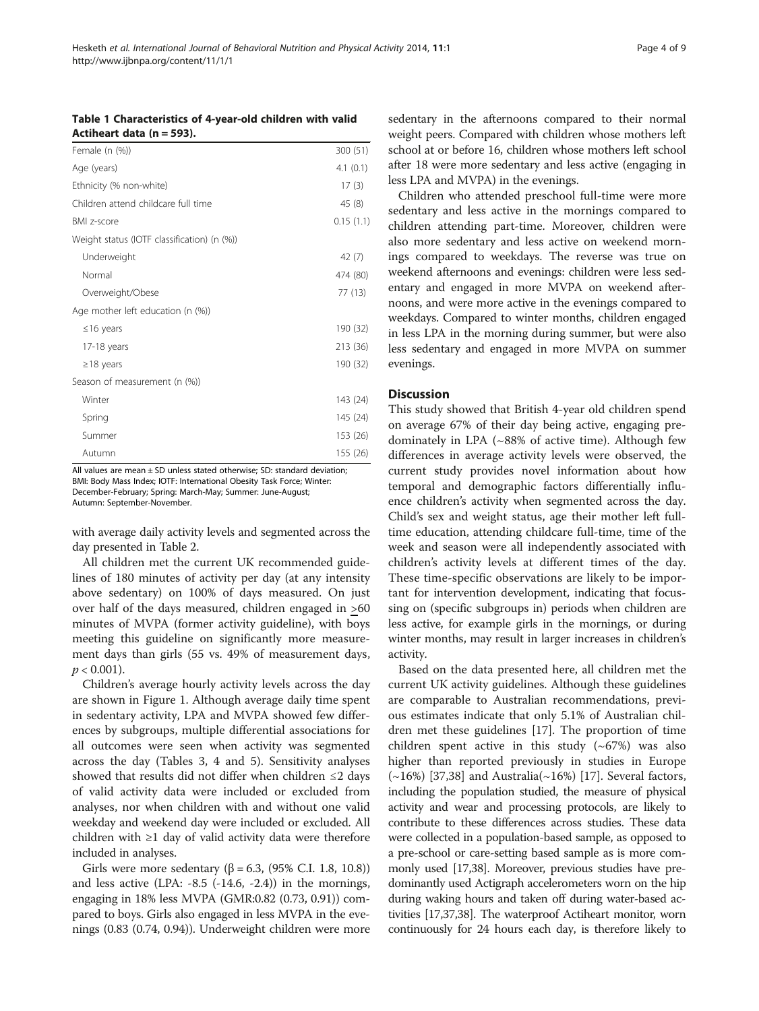### <span id="page-3-0"></span>Table 1 Characteristics of 4-year-old children with valid Actiheart data  $(n = 593)$ .

| Female (n (%))                              | 300 (51)  |
|---------------------------------------------|-----------|
| Age (years)                                 | 4.1(0.1)  |
| Ethnicity (% non-white)                     | 17(3)     |
| Children attend childcare full time         | 45 (8)    |
| <b>BMI</b> z-score                          | 0.15(1.1) |
| Weight status (IOTF classification) (n (%)) |           |
| Underweight                                 | 42 (7)    |
| Normal                                      | 474 (80)  |
| Overweight/Obese                            | 77 (13)   |
| Age mother left education (n (%))           |           |
| $\leq$ 16 years                             | 190 (32)  |
| 17-18 years                                 | 213 (36)  |
| $\geq$ 18 years                             | 190 (32)  |
| Season of measurement (n (%))               |           |
| Winter                                      | 143 (24)  |
| Spring                                      | 145 (24)  |
| Summer                                      | 153 (26)  |
| Autumn                                      | 155 (26)  |

All values are mean  $\pm$  SD unless stated otherwise; SD: standard deviation; BMI: Body Mass Index; IOTF: International Obesity Task Force; Winter: December-February; Spring: March-May; Summer: June-August; Autumn: September-November.

with average daily activity levels and segmented across the day presented in Table [2](#page-4-0).

All children met the current UK recommended guidelines of 180 minutes of activity per day (at any intensity above sedentary) on 100% of days measured. On just over half of the days measured, children engaged in >60 minutes of MVPA (former activity guideline), with boys meeting this guideline on significantly more measurement days than girls (55 vs. 49% of measurement days,  $p < 0.001$ ).

Children's average hourly activity levels across the day are shown in Figure [1.](#page-4-0) Although average daily time spent in sedentary activity, LPA and MVPA showed few differences by subgroups, multiple differential associations for all outcomes were seen when activity was segmented across the day (Tables [3, 4](#page-5-0) and [5](#page-6-0)). Sensitivity analyses showed that results did not differ when children ≤2 days of valid activity data were included or excluded from analyses, nor when children with and without one valid weekday and weekend day were included or excluded. All children with ≥1 day of valid activity data were therefore included in analyses.

Girls were more sedentary ( $β = 6.3$ , (95% C.I. 1.8, 10.8)) and less active  $(LPA: -8.5 (-14.6, -2.4))$  in the mornings, engaging in 18% less MVPA (GMR:0.82 (0.73, 0.91)) compared to boys. Girls also engaged in less MVPA in the evenings (0.83 (0.74, 0.94)). Underweight children were more sedentary in the afternoons compared to their normal weight peers. Compared with children whose mothers left school at or before 16, children whose mothers left school after 18 were more sedentary and less active (engaging in less LPA and MVPA) in the evenings.

Children who attended preschool full-time were more sedentary and less active in the mornings compared to children attending part-time. Moreover, children were also more sedentary and less active on weekend mornings compared to weekdays. The reverse was true on weekend afternoons and evenings: children were less sedentary and engaged in more MVPA on weekend afternoons, and were more active in the evenings compared to weekdays. Compared to winter months, children engaged in less LPA in the morning during summer, but were also less sedentary and engaged in more MVPA on summer evenings.

### **Discussion**

This study showed that British 4-year old children spend on average 67% of their day being active, engaging predominately in LPA  $({\sim}88\%$  of active time). Although few differences in average activity levels were observed, the current study provides novel information about how temporal and demographic factors differentially influence children's activity when segmented across the day. Child's sex and weight status, age their mother left fulltime education, attending childcare full-time, time of the week and season were all independently associated with children's activity levels at different times of the day. These time-specific observations are likely to be important for intervention development, indicating that focussing on (specific subgroups in) periods when children are less active, for example girls in the mornings, or during winter months, may result in larger increases in children's activity.

Based on the data presented here, all children met the current UK activity guidelines. Although these guidelines are comparable to Australian recommendations, previous estimates indicate that only 5.1% of Australian children met these guidelines [[17](#page-8-0)]. The proportion of time children spent active in this study  $({\sim}67%)$  was also higher than reported previously in studies in Europe  $(\sim 16\%)$  [\[37,38\]](#page-8-0) and Australia( $\sim 16\%$ ) [\[17](#page-8-0)]. Several factors, including the population studied, the measure of physical activity and wear and processing protocols, are likely to contribute to these differences across studies. These data were collected in a population-based sample, as opposed to a pre-school or care-setting based sample as is more commonly used [[17,38](#page-8-0)]. Moreover, previous studies have predominantly used Actigraph accelerometers worn on the hip during waking hours and taken off during water-based activities [\[17,37,38\]](#page-8-0). The waterproof Actiheart monitor, worn continuously for 24 hours each day, is therefore likely to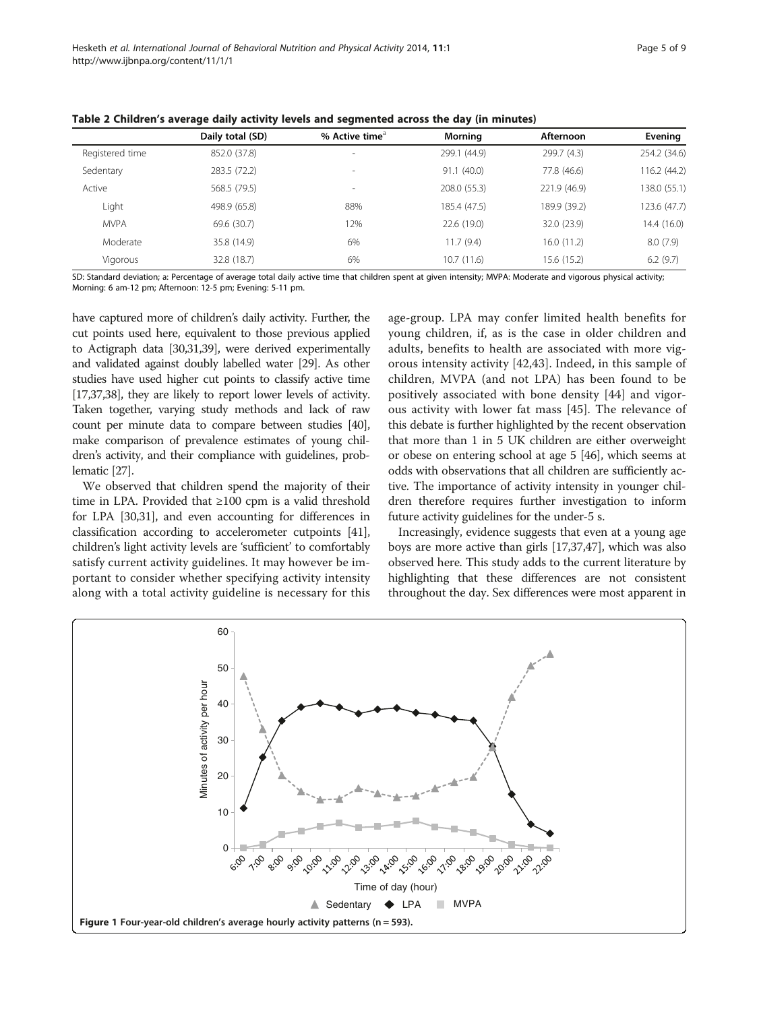|                 | Daily total (SD) | % Active time $^{\circ}$ | Morning      | Afternoon    | Evening      |
|-----------------|------------------|--------------------------|--------------|--------------|--------------|
| Registered time | 852.0 (37.8)     | $\overline{\phantom{a}}$ | 299.1 (44.9) | 299.7 (4.3)  | 254.2 (34.6) |
| Sedentary       | 283.5 (72.2)     | $\overline{\phantom{a}}$ | 91.1(40.0)   | 77.8 (46.6)  | 116.2 (44.2) |
| Active          | 568.5 (79.5)     | ٠                        | 208.0 (55.3) | 221.9 (46.9) | 138.0 (55.1) |
| Light           | 498.9 (65.8)     | 88%                      | 185.4 (47.5) | 189.9 (39.2) | 123.6 (47.7) |
| <b>MVPA</b>     | 69.6 (30.7)      | 12%                      | 22.6 (19.0)  | 32.0 (23.9)  | 14.4 (16.0)  |
| Moderate        | 35.8 (14.9)      | 6%                       | 11.7(9.4)    | 16.0(11.2)   | 8.0(7.9)     |
| Vigorous        | 32.8 (18.7)      | 6%                       | 10.7(11.6)   | 15.6 (15.2)  | 6.2(9.7)     |

<span id="page-4-0"></span>Table 2 Children's average daily activity levels and segmented across the day (in minutes)

SD: Standard deviation; a: Percentage of average total daily active time that children spent at given intensity; MVPA: Moderate and vigorous physical activity; Morning: 6 am-12 pm; Afternoon: 12-5 pm; Evening: 5-11 pm.

have captured more of children's daily activity. Further, the cut points used here, equivalent to those previous applied to Actigraph data [[30,31,39\]](#page-8-0), were derived experimentally and validated against doubly labelled water [\[29](#page-8-0)]. As other studies have used higher cut points to classify active time [[17,37,38\]](#page-8-0), they are likely to report lower levels of activity. Taken together, varying study methods and lack of raw count per minute data to compare between studies [\[40](#page-8-0)], make comparison of prevalence estimates of young children's activity, and their compliance with guidelines, problematic [[27](#page-8-0)].

We observed that children spend the majority of their time in LPA. Provided that ≥100 cpm is a valid threshold for LPA [\[30,31\]](#page-8-0), and even accounting for differences in classification according to accelerometer cutpoints [[41](#page-8-0)], children's light activity levels are 'sufficient' to comfortably satisfy current activity guidelines. It may however be important to consider whether specifying activity intensity along with a total activity guideline is necessary for this age-group. LPA may confer limited health benefits for young children, if, as is the case in older children and adults, benefits to health are associated with more vigorous intensity activity [\[42,43\]](#page-8-0). Indeed, in this sample of children, MVPA (and not LPA) has been found to be positively associated with bone density [[44\]](#page-8-0) and vigorous activity with lower fat mass [[45](#page-8-0)]. The relevance of this debate is further highlighted by the recent observation that more than 1 in 5 UK children are either overweight or obese on entering school at age 5 [[46](#page-8-0)], which seems at odds with observations that all children are sufficiently active. The importance of activity intensity in younger children therefore requires further investigation to inform future activity guidelines for the under-5 s.

Increasingly, evidence suggests that even at a young age boys are more active than girls [\[17,37,47](#page-8-0)], which was also observed here. This study adds to the current literature by highlighting that these differences are not consistent throughout the day. Sex differences were most apparent in

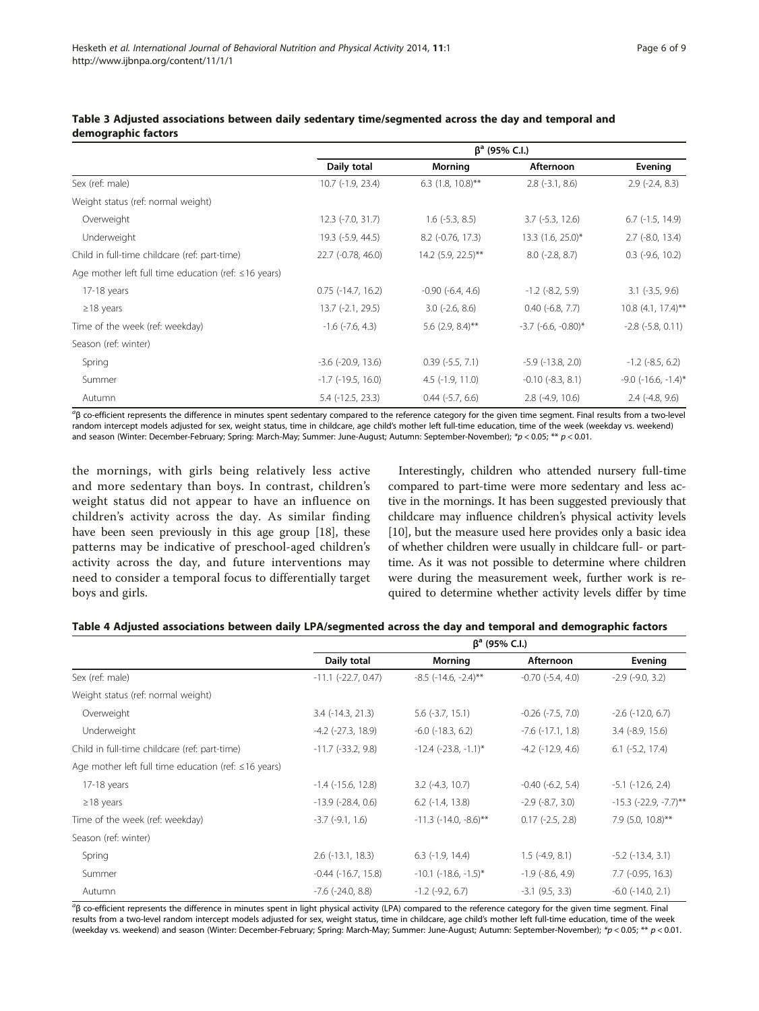|                                                            | $\beta^a$ (95% C.I.)        |                          |                              |                              |
|------------------------------------------------------------|-----------------------------|--------------------------|------------------------------|------------------------------|
|                                                            | Daily total                 | Morning                  | Afternoon                    | Evening                      |
| Sex (ref: male)                                            | 10.7 (-1.9, 23.4)           | 6.3 $(1.8, 10.8)$ **     | $2.8$ ( $-3.1$ , $8.6$ )     | $2.9$ (-2.4, 8.3)            |
| Weight status (ref: normal weight)                         |                             |                          |                              |                              |
| Overweight                                                 | $12.3$ (-7.0, 31.7)         | $1.6$ ( $-5.3$ , $8.5$ ) | $3.7$ ( $-5.3$ , 12.6)       | $6.7$ ( $-1.5$ , $14.9$ )    |
| Underweight                                                | 19.3 (-5.9, 44.5)           | 8.2 (-0.76, 17.3)        | 13.3 (1.6, 25.0)*            | $2.7$ (-8.0, 13.4)           |
| Child in full-time childcare (ref: part-time)              | 22.7 (-0.78, 46.0)          | 14.2 (5.9, 22.5)**       | $8.0$ ( $-2.8$ , $8.7$ )     | $0.3$ (-9.6, 10.2)           |
| Age mother left full time education (ref: $\leq 16$ years) |                             |                          |                              |                              |
| 17-18 years                                                | $0.75$ ( $-14.7$ , $16.2$ ) | $-0.90$ $(-6.4, 4.6)$    | $-1.2$ ( $-8.2, 5.9$ )       | $3.1$ ( $-3.5$ , $9.6$ )     |
| $\geq$ 18 years                                            | 13.7 (-2.1, 29.5)           | $3.0$ (-2.6, 8.6)        | $0.40$ (-6.8, 7.7)           | $10.8$ (4.1, 17.4)**         |
| Time of the week (ref: weekday)                            | $-1.6$ ( $-7.6$ , 4.3)      | 5.6 $(2.9, 8.4)$ **      | $-3.7$ ( $-6.6$ , $-0.80$ )* | $-2.8$ $(-5.8, 0.11)$        |
| Season (ref: winter)                                       |                             |                          |                              |                              |
| Spring                                                     | $-3.6$ $(-20.9, 13.6)$      | $0.39$ ( $-5.5$ , 7.1)   | $-5.9$ $(-13.8, 2.0)$        | $-1.2$ ( $-8.5, 6.2$ )       |
| Summer                                                     | $-1.7$ ( $-19.5$ , $16.0$ ) | $4.5$ (-1.9, 11.0)       | $-0.10$ $(-8.3, 8.1)$        | $-9.0$ ( $-16.6$ , $-1.4$ )* |
| Autumn                                                     | $5.4$ ( $-12.5$ , 23.3)     | $0.44$ $(-5.7, 6.6)$     | $2.8$ (-4.9, 10.6)           | $2.4$ (-4.8, 9.6)            |

### <span id="page-5-0"></span>Table 3 Adjusted associations between daily sedentary time/segmented across the day and temporal and demographic factors

<sup>a</sup>β co-efficient represents the difference in minutes spent sedentary compared to the reference category for the given time segment. Final results from a two-level random intercept models adjusted for sex, weight status, time in childcare, age child's mother left full-time education, time of the week (weekday vs. weekend) and season (Winter: December-February; Spring: March-May; Summer: June-August; Autumn: September-November); \*p < 0.05; \*\* p < 0.01.

the mornings, with girls being relatively less active and more sedentary than boys. In contrast, children's weight status did not appear to have an influence on children's activity across the day. As similar finding have been seen previously in this age group [[18](#page-8-0)], these patterns may be indicative of preschool-aged children's activity across the day, and future interventions may need to consider a temporal focus to differentially target boys and girls.

Interestingly, children who attended nursery full-time compared to part-time were more sedentary and less active in the mornings. It has been suggested previously that childcare may influence children's physical activity levels [[10](#page-7-0)], but the measure used here provides only a basic idea of whether children were usually in childcare full- or parttime. As it was not possible to determine where children were during the measurement week, further work is required to determine whether activity levels differ by time

## β<sup>a</sup> (95% C.I.) Daily total **Morning Afternoon** Evening Sex (ref: male) -11.1 (-22.7, 0.47) -8.5 (-14.6, -2.4)\*\* -0.70 (-5.4, 4.0) -2.9 (-9.0, 3.2) Weight status (ref: normal weight) Overweight 3.4 (-14.3, 21.3) 5.6 (-3.7, 15.1) -0.26 (-7.5, 7.0) -2.6 (-12.0, 6.7) Underweight -4.2 (-27.3, 18.9) -6.0 (-18.3, 6.2) -7.6 (-17.1, 1.8) 3.4 (-8.9, 15.6) Child in full-time childcare (ref: part-time) -11.7 (-33.2, 9.8) -12.4 (-23.8, -1.1)\* -4.2 (-12.9, 4.6) 6.1 (-5.2, 17.4)

### Table 4 Adjusted associations between daily LPA/segmented across the day and temporal and demographic factors

|                                                            | Daily total                | Morning                        | Afternoon                  | Evening                        |
|------------------------------------------------------------|----------------------------|--------------------------------|----------------------------|--------------------------------|
| Sex (ref: male)                                            | $-11.1$ $(-22.7, 0.47)$    | $-8.5$ ( $-14.6$ , $-2.4$ )**  | $-0.70$ $(-5.4, 4.0)$      | $-2.9$ $(-9.0, 3.2)$           |
| Weight status (ref: normal weight)                         |                            |                                |                            |                                |
| Overweight                                                 | $3.4$ ( $-14.3$ , $21.3$ ) | $5.6$ (-3.7, 15.1)             | $-0.26$ $(-7.5, 7.0)$      | $-2.6$ ( $-12.0$ , 6.7)        |
| Underweight                                                | $-4.2$ $(-27.3, 18.9)$     | $-6.0$ $(-18.3, 6.2)$          | $-7.6$ $(-17.1, 1.8)$      | $3.4$ ( $-8.9$ , $15.6$ )      |
| Child in full-time childcare (ref: part-time)              | $-11.7$ ( $-33.2$ , 9.8)   | $-12.4$ ( $-23.8$ , $-1.1$ )*  | $-4.2$ ( $-12.9$ , $4.6$ ) | $6.1$ ( $-5.2$ , 17.4)         |
| Age mother left full time education (ref: $\leq$ 16 years) |                            |                                |                            |                                |
| $17-18$ years                                              | $-1.4$ ( $-15.6$ , 12.8)   | $3.2$ (-4.3, 10.7)             | $-0.40$ $(-6.2, 5.4)$      | $-5.1$ $(-12.6, 2.4)$          |
| $\geq$ 18 years                                            | $-13.9$ ( $-28.4$ , 0.6)   | $6.2$ ( $-1.4$ , $13.8$ )      | $-2.9$ ( $-8.7, 3.0$ )     | $-15.3$ ( $-22.9$ , $-7.7$ )** |
| Time of the week (ref: weekday)                            | $-3.7$ $(-9.1, 1.6)$       | $-11.3$ ( $-14.0$ , $-8.6$ )** | $0.17$ ( $-2.5$ , $2.8$ )  | 7.9 $(5.0, 10.8)$ **           |
| Season (ref: winter)                                       |                            |                                |                            |                                |
| Spring                                                     | $2.6$ ( $-13.1$ , $18.3$ ) | $6.3$ (-1.9, 14.4)             | $1.5$ (-4.9, 8.1)          | $-5.2$ ( $-13.4$ , $3.1$ )     |
| Summer                                                     | $-0.44$ $(-16.7, 15.8)$    | $-10.1$ ( $-18.6$ , $-1.5$ )*  | $-1.9$ $(-8.6, 4.9)$       | $7.7$ ( $-0.95$ , $16.3$ )     |
| Autumn                                                     | $-7.6$ $(-24.0, 8.8)$      | $-1.2$ ( $-9.2$ , 6.7)         | $-3.1$ (9.5, 3.3)          | $-6.0$ $(-14.0, 2.1)$          |

<sup>a</sup>β co-efficient represents the difference in minutes spent in light physical activity (LPA) compared to the reference category for the given time segment. Final results from a two-level random intercept models adjusted for sex, weight status, time in childcare, age child's mother left full-time education, time of the week (weekday vs. weekend) and season (Winter: December-February; Spring: March-May; Summer: June-August; Autumn: September-November); \*p < 0.05; \*\* p < 0.01.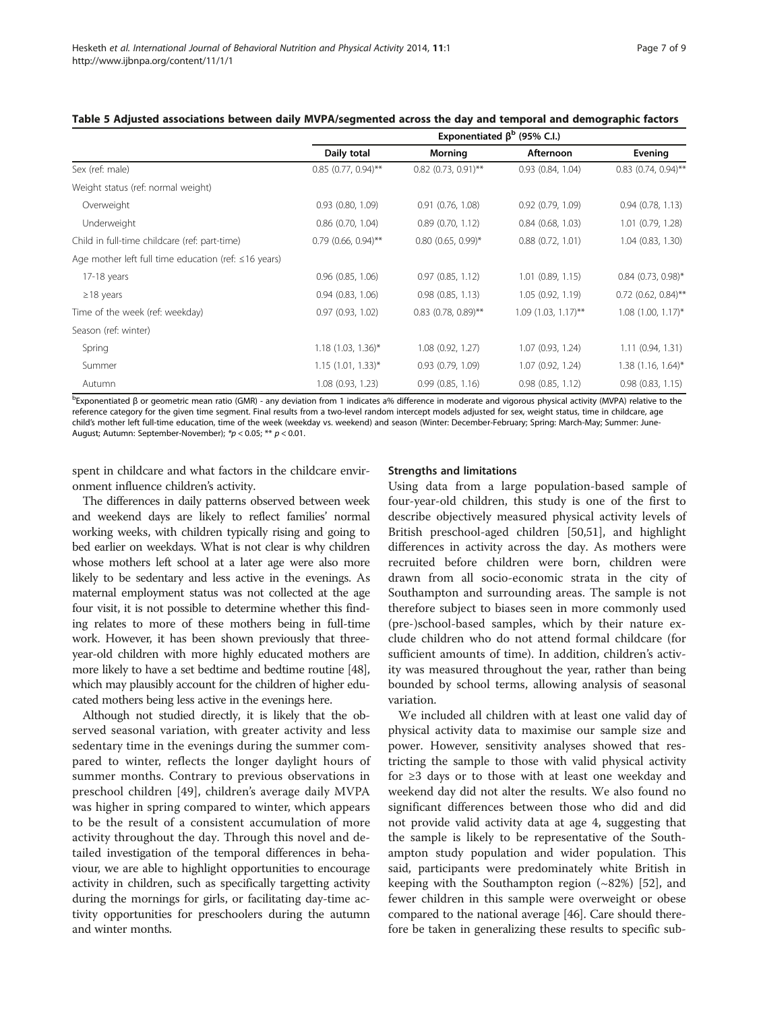|                                                            | Exponentiated $\beta^b$ (95% C.I.) |                       |                       |                       |
|------------------------------------------------------------|------------------------------------|-----------------------|-----------------------|-----------------------|
|                                                            | Daily total                        | Morning               | Afternoon             | Evening               |
| Sex (ref: male)                                            | $0.85$ (0.77, 0.94)**              | $0.82$ (0.73, 0.91)** | 0.93(0.84, 1.04)      | $0.83$ (0.74, 0.94)** |
| Weight status (ref: normal weight)                         |                                    |                       |                       |                       |
| Overweight                                                 | $0.93$ $(0.80, 1.09)$              | $0.91$ $(0.76, 1.08)$ | $0.92$ $(0.79, 1.09)$ | 0.94(0.78, 1.13)      |
| Underweight                                                | $0.86$ $(0.70, 1.04)$              | 0.89(0.70, 1.12)      | $0.84$ $(0.68, 1.03)$ | $1.01$ (0.79, 1.28)   |
| Child in full-time childcare (ref: part-time)              | $0.79$ (0.66, 0.94)**              | $0.80$ (0.65, 0.99)*  | 0.88(0.72, 1.01)      | $1.04$ $(0.83, 1.30)$ |
| Age mother left full time education (ref: $\leq 16$ years) |                                    |                       |                       |                       |
| 17-18 years                                                | $0.96$ $(0.85, 1.06)$              | 0.97(0.85, 1.12)      | $1.01$ $(0.89, 1.15)$ | $0.84$ (0.73, 0.98)*  |
| $\geq$ 18 years                                            | 0.94(0.83, 1.06)                   | $0.98$ $(0.85, 1.13)$ | 1.05 (0.92, 1.19)     | $0.72$ (0.62, 0.84)** |
| Time of the week (ref: weekday)                            | 0.97(0.93, 1.02)                   | $0.83$ (0.78, 0.89)** | $1.09$ (1.03, 1.17)** | $1.08$ (1.00, 1.17)*  |
| Season (ref: winter)                                       |                                    |                       |                       |                       |
| Spring                                                     | $1.18$ (1.03, 1.36)*               | 1.08(0.92, 1.27)      | 1.07 (0.93, 1.24)     | 1.11(0.94, 1.31)      |
| Summer                                                     | $1.15$ (1.01, 1.33)*               | 0.93(0.79, 1.09)      | 1.07 (0.92, 1.24)     | $1.38$ (1.16, 1.64)*  |
| Autumn                                                     | 1.08 (0.93, 1.23)                  | 0.99(0.85, 1.16)      | 0.98(0.85, 1.12)      | 0.98(0.83, 1.15)      |

### <span id="page-6-0"></span>Table 5 Adjusted associations between daily MVPA/segmented across the day and temporal and demographic factors

b Exponentiated β or geometric mean ratio (GMR) - any deviation from 1 indicates a% difference in moderate and vigorous physical activity (MVPA) relative to the reference category for the given time segment. Final results from a two-level random intercept models adjusted for sex, weight status, time in childcare, age child's mother left full-time education, time of the week (weekday vs. weekend) and season (Winter: December-February; Spring: March-May; Summer: June-August; Autumn: September-November); \*p < 0.05; \*\* p < 0.01.

spent in childcare and what factors in the childcare environment influence children's activity.

The differences in daily patterns observed between week and weekend days are likely to reflect families' normal working weeks, with children typically rising and going to bed earlier on weekdays. What is not clear is why children whose mothers left school at a later age were also more likely to be sedentary and less active in the evenings. As maternal employment status was not collected at the age four visit, it is not possible to determine whether this finding relates to more of these mothers being in full-time work. However, it has been shown previously that threeyear-old children with more highly educated mothers are more likely to have a set bedtime and bedtime routine [\[48](#page-8-0)], which may plausibly account for the children of higher educated mothers being less active in the evenings here.

Although not studied directly, it is likely that the observed seasonal variation, with greater activity and less sedentary time in the evenings during the summer compared to winter, reflects the longer daylight hours of summer months. Contrary to previous observations in preschool children [[49](#page-8-0)], children's average daily MVPA was higher in spring compared to winter, which appears to be the result of a consistent accumulation of more activity throughout the day. Through this novel and detailed investigation of the temporal differences in behaviour, we are able to highlight opportunities to encourage activity in children, such as specifically targetting activity during the mornings for girls, or facilitating day-time activity opportunities for preschoolers during the autumn and winter months.

### Strengths and limitations

Using data from a large population-based sample of four-year-old children, this study is one of the first to describe objectively measured physical activity levels of British preschool-aged children [\[50,51\]](#page-8-0), and highlight differences in activity across the day. As mothers were recruited before children were born, children were drawn from all socio-economic strata in the city of Southampton and surrounding areas. The sample is not therefore subject to biases seen in more commonly used (pre-)school-based samples, which by their nature exclude children who do not attend formal childcare (for sufficient amounts of time). In addition, children's activity was measured throughout the year, rather than being bounded by school terms, allowing analysis of seasonal variation.

We included all children with at least one valid day of physical activity data to maximise our sample size and power. However, sensitivity analyses showed that restricting the sample to those with valid physical activity for ≥3 days or to those with at least one weekday and weekend day did not alter the results. We also found no significant differences between those who did and did not provide valid activity data at age 4, suggesting that the sample is likely to be representative of the Southampton study population and wider population. This said, participants were predominately white British in keeping with the Southampton region  $(\sim 82\%)$  [\[52](#page-8-0)], and fewer children in this sample were overweight or obese compared to the national average [\[46\]](#page-8-0). Care should therefore be taken in generalizing these results to specific sub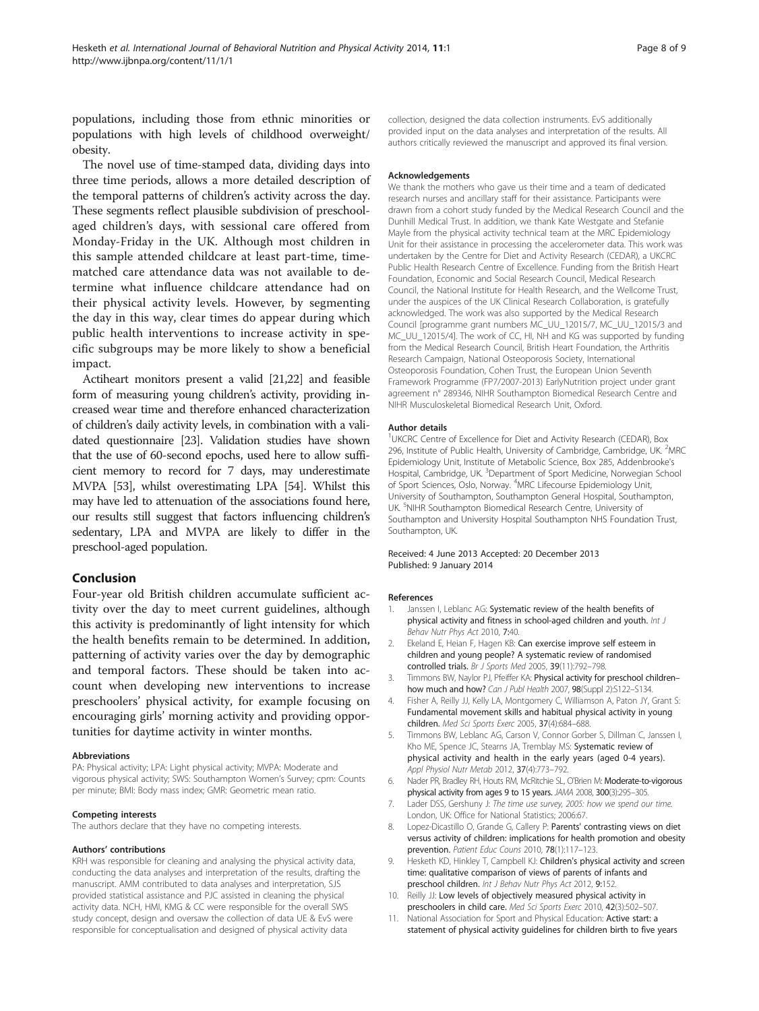<span id="page-7-0"></span>populations, including those from ethnic minorities or populations with high levels of childhood overweight/ obesity.

The novel use of time-stamped data, dividing days into three time periods, allows a more detailed description of the temporal patterns of children's activity across the day. These segments reflect plausible subdivision of preschoolaged children's days, with sessional care offered from Monday-Friday in the UK. Although most children in this sample attended childcare at least part-time, timematched care attendance data was not available to determine what influence childcare attendance had on their physical activity levels. However, by segmenting the day in this way, clear times do appear during which public health interventions to increase activity in specific subgroups may be more likely to show a beneficial impact.

Actiheart monitors present a valid [\[21,22\]](#page-8-0) and feasible form of measuring young children's activity, providing increased wear time and therefore enhanced characterization of children's daily activity levels, in combination with a validated questionnaire [[23](#page-8-0)]. Validation studies have shown that the use of 60-second epochs, used here to allow sufficient memory to record for 7 days, may underestimate MVPA [[53](#page-8-0)], whilst overestimating LPA [\[54](#page-8-0)]. Whilst this may have led to attenuation of the associations found here, our results still suggest that factors influencing children's sedentary, LPA and MVPA are likely to differ in the preschool-aged population.

### Conclusion

Four-year old British children accumulate sufficient activity over the day to meet current guidelines, although this activity is predominantly of light intensity for which the health benefits remain to be determined. In addition, patterning of activity varies over the day by demographic and temporal factors. These should be taken into account when developing new interventions to increase preschoolers' physical activity, for example focusing on encouraging girls' morning activity and providing opportunities for daytime activity in winter months.

### Abbreviations

PA: Physical activity; LPA: Light physical activity; MVPA: Moderate and vigorous physical activity; SWS: Southampton Women's Survey; cpm: Counts per minute; BMI: Body mass index; GMR: Geometric mean ratio.

### Competing interests

The authors declare that they have no competing interests.

### Authors' contributions

KRH was responsible for cleaning and analysing the physical activity data, conducting the data analyses and interpretation of the results, drafting the manuscript. AMM contributed to data analyses and interpretation, SJS provided statistical assistance and PJC assisted in cleaning the physical activity data. NCH, HMI, KMG & CC were responsible for the overall SWS study concept, design and oversaw the collection of data UE & EvS were responsible for conceptualisation and designed of physical activity data

collection, designed the data collection instruments. EvS additionally provided input on the data analyses and interpretation of the results. All authors critically reviewed the manuscript and approved its final version.

### Acknowledgements

We thank the mothers who gave us their time and a team of dedicated research nurses and ancillary staff for their assistance. Participants were drawn from a cohort study funded by the Medical Research Council and the Dunhill Medical Trust. In addition, we thank Kate Westgate and Stefanie Mayle from the physical activity technical team at the MRC Epidemiology Unit for their assistance in processing the accelerometer data. This work was undertaken by the Centre for Diet and Activity Research (CEDAR), a UKCRC Public Health Research Centre of Excellence. Funding from the British Heart Foundation, Economic and Social Research Council, Medical Research Council, the National Institute for Health Research, and the Wellcome Trust, under the auspices of the UK Clinical Research Collaboration, is gratefully acknowledged. The work was also supported by the Medical Research Council [programme grant numbers MC\_UU\_12015/7, MC\_UU\_12015/3 and MC\_UU\_12015/4]. The work of CC, HI, NH and KG was supported by funding from the Medical Research Council, British Heart Foundation, the Arthritis Research Campaign, National Osteoporosis Society, International Osteoporosis Foundation, Cohen Trust, the European Union Seventh Framework Programme (FP7/2007-2013) EarlyNutrition project under grant agreement n° 289346, NIHR Southampton Biomedical Research Centre and NIHR Musculoskeletal Biomedical Research Unit, Oxford.

### Author details

<sup>1</sup>UKCRC Centre of Excellence for Diet and Activity Research (CEDAR), Box 296, Institute of Public Health, University of Cambridge, Cambridge, UK. <sup>2</sup>MRC Epidemiology Unit, Institute of Metabolic Science, Box 285, Addenbrooke's Hospital, Cambridge, UK. <sup>3</sup>Department of Sport Medicine, Norwegian School of Sport Sciences, Oslo, Norway. <sup>4</sup>MRC Lifecourse Epidemiology Unit University of Southampton, Southampton General Hospital, Southampton, UK. <sup>5</sup>NIHR Southampton Biomedical Research Centre, University of Southampton and University Hospital Southampton NHS Foundation Trust, Southampton, UK.

### Received: 4 June 2013 Accepted: 20 December 2013 Published: 9 January 2014

### References

- 1. Janssen I, Leblanc AG: Systematic review of the health benefits of physical activity and fitness in school-aged children and youth. Int J Behav Nutr Phys Act 2010, 7:40.
- 2. Ekeland E, Heian F, Hagen KB: Can exercise improve self esteem in children and young people? A systematic review of randomised controlled trials. Br J Sports Med 2005, 39(11):792-798.
- 3. Timmons BW, Naylor PJ, Pfeiffer KA: Physical activity for preschool children– how much and how? Can J Publ Health 2007, 98(Suppl 2):S122-S134.
- 4. Fisher A, Reilly JJ, Kelly LA, Montgomery C, Williamson A, Paton JY, Grant S: Fundamental movement skills and habitual physical activity in young children. Med Sci Sports Exerc 2005, 37(4):684–688.
- 5. Timmons BW, Leblanc AG, Carson V, Connor Gorber S, Dillman C, Janssen I, Kho ME, Spence JC, Stearns JA, Tremblay MS: Systematic review of physical activity and health in the early years (aged 0-4 years). Appl Physiol Nutr Metab 2012, 37(4):773–792.
- 6. Nader PR, Bradley RH, Houts RM, McRitchie SL, O'Brien M: Moderate-to-vigorous physical activity from ages 9 to 15 years. JAMA 2008, 300(3):295–305.
- 7. Lader DSS, Gershuny J: The time use survey, 2005: how we spend our time. London, UK: Office for National Statistics; 2006:67.
- 8. Lopez-Dicastillo O, Grande G, Callery P: Parents' contrasting views on diet versus activity of children: implications for health promotion and obesity prevention. Patient Educ Couns 2010, 78(1):117–123.
- 9. Hesketh KD, Hinkley T, Campbell KJ: Children's physical activity and screen time: qualitative comparison of views of parents of infants and preschool children. Int J Behav Nutr Phys Act 2012, 9:152.
- 10. Reilly JJ: Low levels of objectively measured physical activity in preschoolers in child care. Med Sci Sports Exerc 2010, 42(3):502–507.
- 11. National Association for Sport and Physical Education: Active start: a statement of physical activity guidelines for children birth to five years